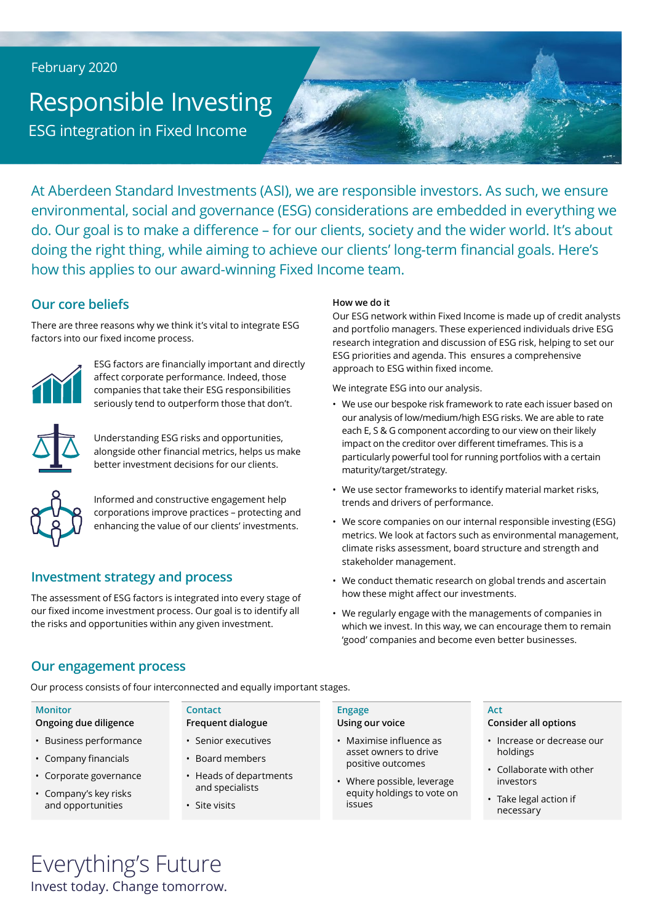### February 2020

# Responsible Investing ESG integration in Fixed Income

At Aberdeen Standard Investments (ASI), we are responsible investors. As such, we ensure environmental, social and governance (ESG) considerations are embedded in everything we do. Our goal is to make a difference – for our clients, society and the wider world. It's about doing the right thing, while aiming to achieve our clients' long-term financial goals. Here's how this applies to our award-winning Fixed Income team.

# **Our core beliefs**

There are three reasons why we think it's vital to integrate ESG factors into our fixed income process.



ESG factors are financially important and directly affect corporate performance. Indeed, those companies that take their ESG responsibilities seriously tend to outperform those that don't.



Understanding ESG risks and opportunities, alongside other financial metrics, helps us make better investment decisions for our clients.



Informed and constructive engagement help corporations improve practices – protecting and enhancing the value of our clients' investments.

# **Investment strategy and process**

The assessment of ESG factors is integrated into every stage of our fixed income investment process. Our goal is to identify all the risks and opportunities within any given investment.

### **How we do it**

Our ESG network within Fixed Income is made up of credit analysts and portfolio managers. These experienced individuals drive ESG research integration and discussion of ESG risk, helping to set our ESG priorities and agenda. This ensures a comprehensive approach to ESG within fixed income.

We integrate ESG into our analysis.

- We use our bespoke risk framework to rate each issuer based on our analysis of low/medium/high ESG risks. We are able to rate each E, S & G component according to our view on their likely impact on the creditor over different timeframes. This is a particularly powerful tool for running portfolios with a certain maturity/target/strategy.
- We use sector frameworks to identify material market risks, trends and drivers of performance.
- We score companies on our internal responsible investing (ESG) metrics. We look at factors such as environmental management, climate risks assessment, board structure and strength and stakeholder management.
- We conduct thematic research on global trends and ascertain how these might affect our investments.
- We regularly engage with the managements of companies in which we invest. In this way, we can encourage them to remain 'good' companies and become even better businesses.

# **Our engagement process**

Our process consists of four interconnected and equally important stages.

**Contact**

• Site visits

**Frequent dialogue** • Senior executives • Board members

• Heads of departments and specialists

### **Monitor**

- **Ongoing due diligence**
- Business performance
- Company financials
- Corporate governance
- Company's key risks and opportunities

### **Engage**

### **Using our voice**

- Maximise influence as asset owners to drive positive outcomes
- Where possible, leverage equity holdings to vote on issues

### **Act**

### **Consider all options**

- Increase or decrease our holdings
- Collaborate with other investors
- Take legal action if necessary

# Everything's Future Invest today. Change tomorrow.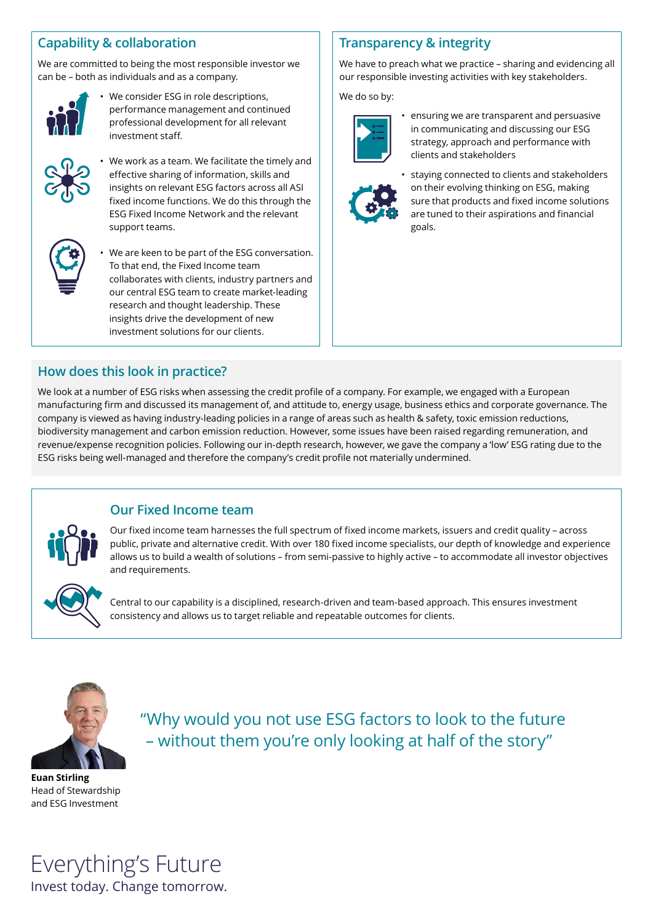# **Capability & collaboration**

We are committed to being the most responsible investor we can be – both as individuals and as a company.



We consider ESG in role descriptions, performance management and continued professional development for all relevant investment staff.



• We work as a team. We facilitate the timely and effective sharing of information, skills and insights on relevant ESG factors across all ASI fixed income functions. We do this through the ESG Fixed Income Network and the relevant support teams.



We are keen to be part of the ESG conversation. To that end, the Fixed Income team collaborates with clients, industry partners and our central ESG team to create market-leading research and thought leadership. These insights drive the development of new investment solutions for our clients.

# **Transparency & integrity**

We have to preach what we practice – sharing and evidencing all our responsible investing activities with key stakeholders.

We do so by:



• ensuring we are transparent and persuasive in communicating and discussing our ESG strategy, approach and performance with clients and stakeholders



• staying connected to clients and stakeholders on their evolving thinking on ESG, making sure that products and fixed income solutions are tuned to their aspirations and financial goals.

# **How does this look in practice?**

We look at a number of ESG risks when assessing the credit profile of a company. For example, we engaged with a European manufacturing firm and discussed its management of, and attitude to, energy usage, business ethics and corporate governance. The company is viewed as having industry-leading policies in a range of areas such as health & safety, toxic emission reductions, biodiversity management and carbon emission reduction. However, some issues have been raised regarding remuneration, and revenue/expense recognition policies. Following our in-depth research, however, we gave the company a 'low' ESG rating due to the ESG risks being well-managed and therefore the company's credit profile not materially undermined.

# **Our Fixed Income team**

Our fixed income team harnesses the full spectrum of fixed income markets, issuers and credit quality – across public, private and alternative credit. With over 180 fixed income specialists, our depth of knowledge and experience allows us to build a wealth of solutions – from semi-passive to highly active – to accommodate all investor objectives and requirements.



Central to our capability is a disciplined, research-driven and team-based approach. This ensures investment consistency and allows us to target reliable and repeatable outcomes for clients.



"Why would you not use ESG factors to look to the future – without them you're only looking at half of the story"

**Euan Stirling** Head of Stewardship and ESG Investment

Everything's Future Invest today. Change tomorrow.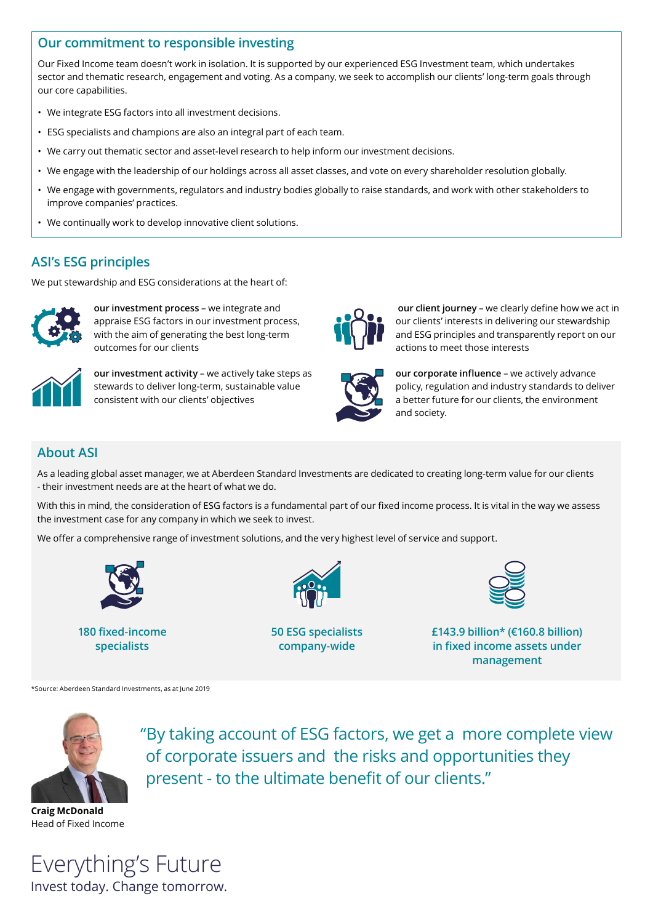# **Our commitment to responsible investing**

Our Fixed Income team doesn't work in isolation. It is supported by our experienced ESG Investment team, which undertakes sector and thematic research, engagement and voting. As a company, we seek to accomplish our clients' long-term goals through our core capabilities.

- We integrate ESG factors into all investment decisions.
- ESG specialists and champions are also an integral part of each team.
- We carry out thematic sector and asset-level research to help inform our investment decisions.
- We engage with the leadership of our holdings across all asset classes, and vote on every shareholder resolution globally.
- We engage with governments, regulators and industry bodies globally to raise standards, and work with other stakeholders to improve companies' practices.
- We continually work to develop innovative client solutions.

# **ASI's ESG principles**

We put stewardship and ESG considerations at the heart of:



**our investment process** – we integrate and appraise ESG factors in our investment process, with the aim of generating the best long-term outcomes for our clients



**our investment activity** – we actively take steps as stewards to deliver long-term, sustainable value consistent with our clients' objectives



**our client journey** – we clearly define how we act in our clients' interests in delivering our stewardship and ESG principles and transparently report on our actions to meet those interests



**our corporate influence** – we actively advance policy, regulation and industry standards to deliver a better future for our clients, the environment and society.

# **About ASI**

As a leading global asset manager, we at Aberdeen Standard Investments are dedicated to creating long-term value for our clients - their investment needs are at the heart of what we do.

With this in mind, the consideration of ESG factors is a fundamental part of our fixed income process. It is vital in the way we assess the investment case for any company in which we seek to invest.

We offer a comprehensive range of investment solutions, and the very highest level of service and support.



**180 fixed-income specialists**



**50 ESG specialists company-wide**



**£143.9 billion\* (€160.8 billion) in fixed income assets under management**

\*Source: Aberdeen Standard Investments, as at June 2019



"By taking account of ESG factors, we get a more complete view of corporate issuers and the risks and opportunities they present - to the ultimate benefit of our clients."

**Craig McDonald** Head of Fixed Income

Everything's Future Invest today. Change tomorrow.